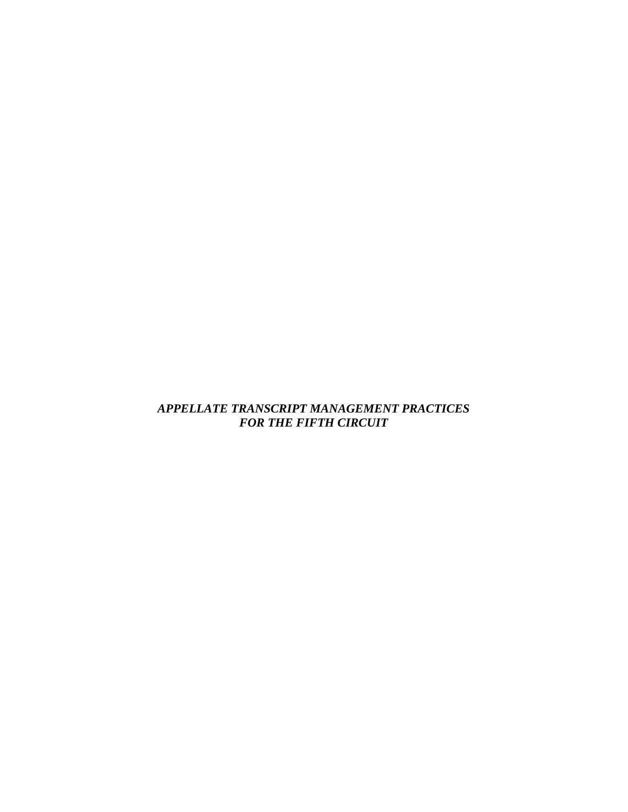### *APPELLATE TRANSCRIPT MANAGEMENT PRACTICES FOR THE FIFTH CIRCUIT*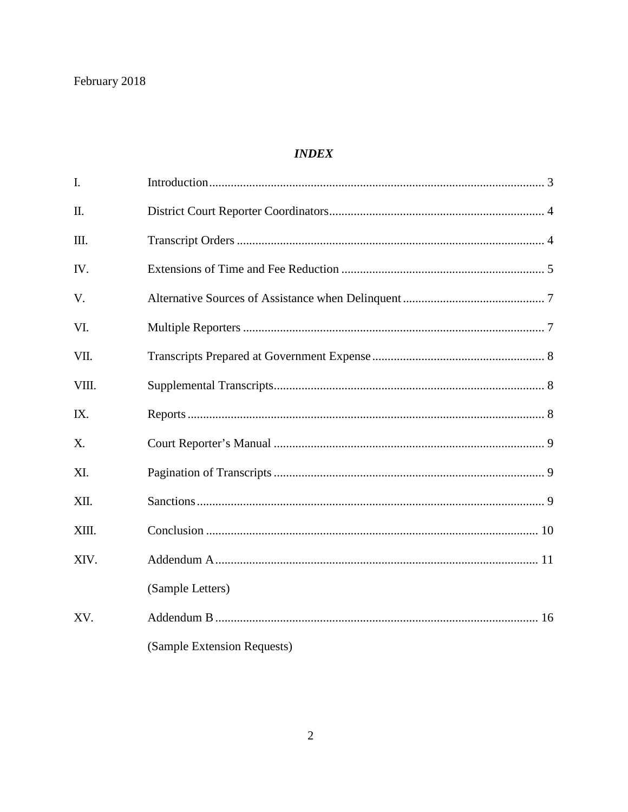### **INDEX**

| I.    |                             |  |
|-------|-----------------------------|--|
| Π.    |                             |  |
| Ш.    |                             |  |
| IV.   |                             |  |
| V.    |                             |  |
| VI.   |                             |  |
| VII.  |                             |  |
| VIII. |                             |  |
| IX.   |                             |  |
| X.    |                             |  |
| XI.   |                             |  |
| XII.  |                             |  |
| XIII. |                             |  |
| XIV.  |                             |  |
|       | (Sample Letters)            |  |
| XV.   |                             |  |
|       | (Sample Extension Requests) |  |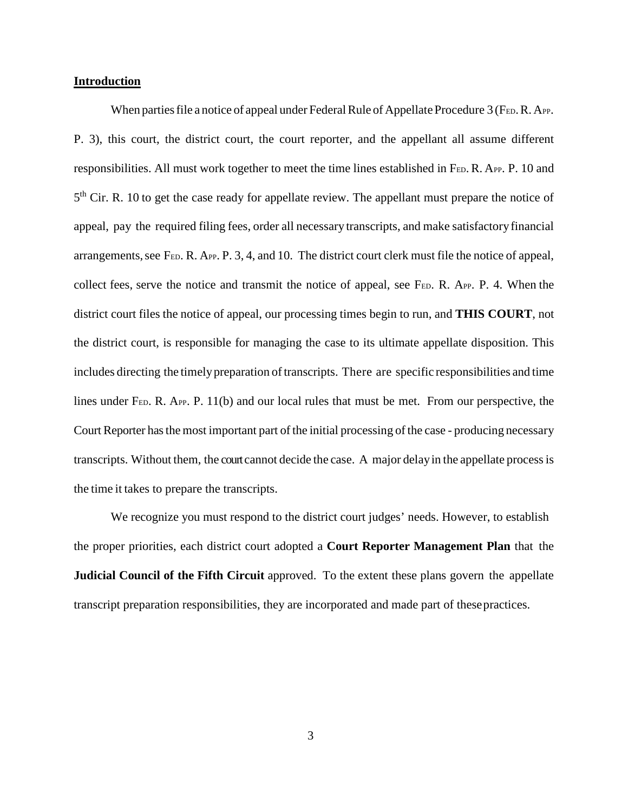#### **Introduction**

When parties file a notice of appeal under Federal Rule of Appellate Procedure 3 (FED. R. APP. P. 3), this court, the district court, the court reporter, and the appellant all assume different responsibilities. All must work together to meet the time lines established in FED. R. APP. P. 10 and 5<sup>th</sup> Cir. R. 10 to get the case ready for appellate review. The appellant must prepare the notice of appeal, pay the required filing fees, order all necessary transcripts, and make satisfactoryfinancial arrangements, see F<sub>ED</sub>. R. A<sub>PP</sub>. P. 3, 4, and 10. The district court clerk must file the notice of appeal, collect fees, serve the notice and transmit the notice of appeal, see FED. R. APP. P. 4. When the district court files the notice of appeal, our processing times begin to run, and **THIS COURT**, not the district court, is responsible for managing the case to its ultimate appellate disposition. This includes directing the timely preparation of transcripts. There are specific responsibilities and time lines under FED. R. APP. P. 11(b) and our local rules that must be met. From our perspective, the Court Reporter has the most important part of the initial processing of the case - producing necessary transcripts. Without them, the courtcannot decide the case. A major delayin the appellate processis the time it takes to prepare the transcripts.

We recognize you must respond to the district court judges' needs. However, to establish the proper priorities, each district court adopted a **Court Reporter Management Plan** that the **Judicial Council of the Fifth Circuit** approved. To the extent these plans govern the appellate transcript preparation responsibilities, they are incorporated and made part of thesepractices.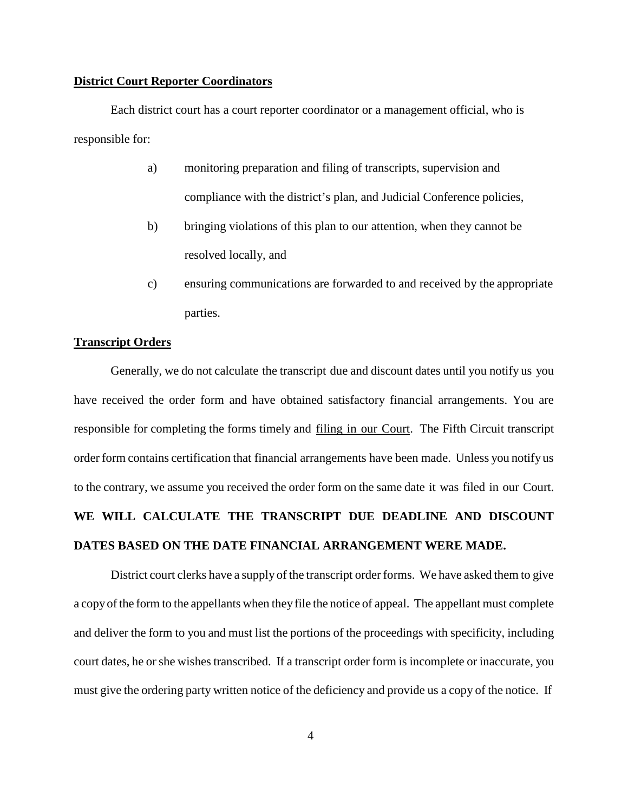#### **District Court Reporter Coordinators**

Each district court has a court reporter coordinator or a management official, who is responsible for:

- a) monitoring preparation and filing of transcripts, supervision and compliance with the district's plan, and Judicial Conference policies,
- b) bringing violations of this plan to our attention, when they cannot be resolved locally, and
- c) ensuring communications are forwarded to and received by the appropriate parties.

#### **Transcript Orders**

Generally, we do not calculate the transcript due and discount dates until you notify us you have received the order form and have obtained satisfactory financial arrangements. You are responsible for completing the forms timely and filing in our Court. The Fifth Circuit transcript order form contains certification that financial arrangements have been made. Unless you notify us to the contrary, we assume you received the order form on the same date it was filed in our Court. **WE WILL CALCULATE THE TRANSCRIPT DUE DEADLINE AND DISCOUNT DATES BASED ON THE DATE FINANCIAL ARRANGEMENT WERE MADE.**

District court clerks have a supply of the transcript order forms. We have asked them to give a copyofthe form to the appellants when they file the notice of appeal. The appellant must complete and deliver the form to you and must list the portions of the proceedings with specificity, including court dates, he or she wishes transcribed. If a transcript order form is incomplete or inaccurate, you must give the ordering party written notice of the deficiency and provide us a copy of the notice. If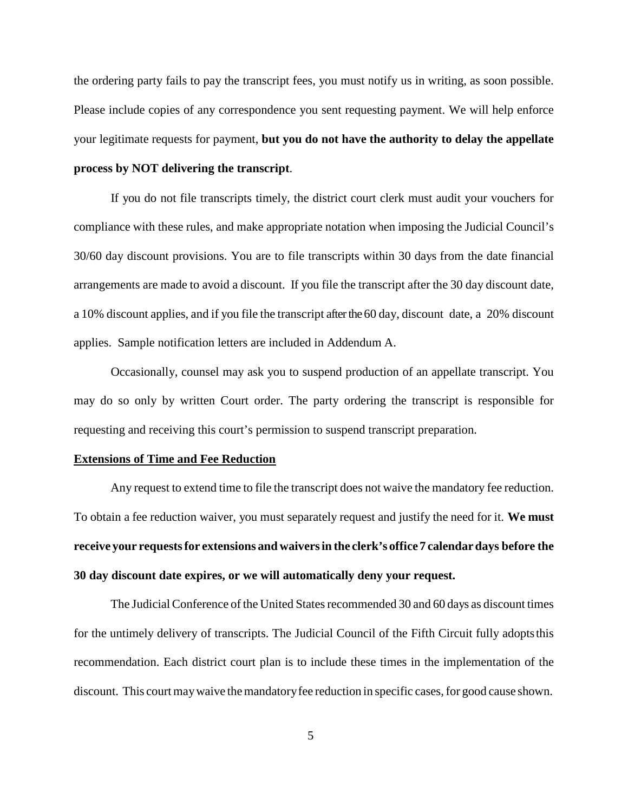the ordering party fails to pay the transcript fees, you must notify us in writing, as soon possible. Please include copies of any correspondence you sent requesting payment. We will help enforce your legitimate requests for payment, **but you do not have the authority to delay the appellate process by NOT delivering the transcript**.

If you do not file transcripts timely, the district court clerk must audit your vouchers for compliance with these rules, and make appropriate notation when imposing the Judicial Council's 30/60 day discount provisions. You are to file transcripts within 30 days from the date financial arrangements are made to avoid a discount. If you file the transcript after the 30 day discount date, a 10% discount applies, and if you file the transcript after the 60 day, discount date, a 20% discount applies. Sample notification letters are included in Addendum A.

Occasionally, counsel may ask you to suspend production of an appellate transcript. You may do so only by written Court order. The party ordering the transcript is responsible for requesting and receiving this court's permission to suspend transcript preparation.

#### **Extensions of Time and Fee Reduction**

Any request to extend time to file the transcript does not waive the mandatory fee reduction. To obtain a fee reduction waiver, you must separately request and justify the need for it. **We must receive your requestsfor extensions and waiversin the clerk's office 7 calendardays before the 30 day discount date expires, or we will automatically deny your request.**

The Judicial Conference of the United States recommended 30 and 60 days as discount times for the untimely delivery of transcripts. The Judicial Council of the Fifth Circuit fully adoptsthis recommendation. Each district court plan is to include these times in the implementation of the discount. This court may waive the mandatory fee reduction in specific cases, for good cause shown.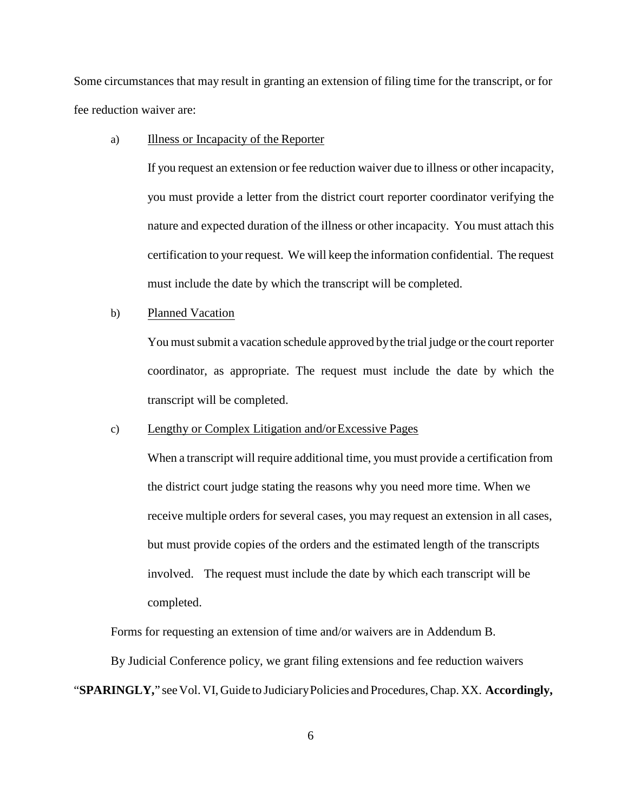Some circumstances that may result in granting an extension of filing time for the transcript, or for fee reduction waiver are:

#### a) Illness or Incapacity of the Reporter

If you request an extension or fee reduction waiver due to illness or other incapacity, you must provide a letter from the district court reporter coordinator verifying the nature and expected duration of the illness or other incapacity. You must attach this certification to your request. We will keep the information confidential. The request must include the date by which the transcript will be completed.

#### b) Planned Vacation

You must submit a vacation schedule approved by the trial judge or the court reporter coordinator, as appropriate. The request must include the date by which the transcript will be completed.

#### c) Lengthy or Complex Litigation and/orExcessive Pages

When a transcript will require additional time, you must provide a certification from the district court judge stating the reasons why you need more time. When we receive multiple orders for several cases, you may request an extension in all cases, but must provide copies of the orders and the estimated length of the transcripts involved. The request must include the date by which each transcript will be completed.

Forms for requesting an extension of time and/or waivers are in Addendum B.

By Judicial Conference policy, we grant filing extensions and fee reduction waivers

"**SPARINGLY,**" seeVol.VI,Guide to JudiciaryPolicies and Procedures,Chap. XX. **Accordingly,**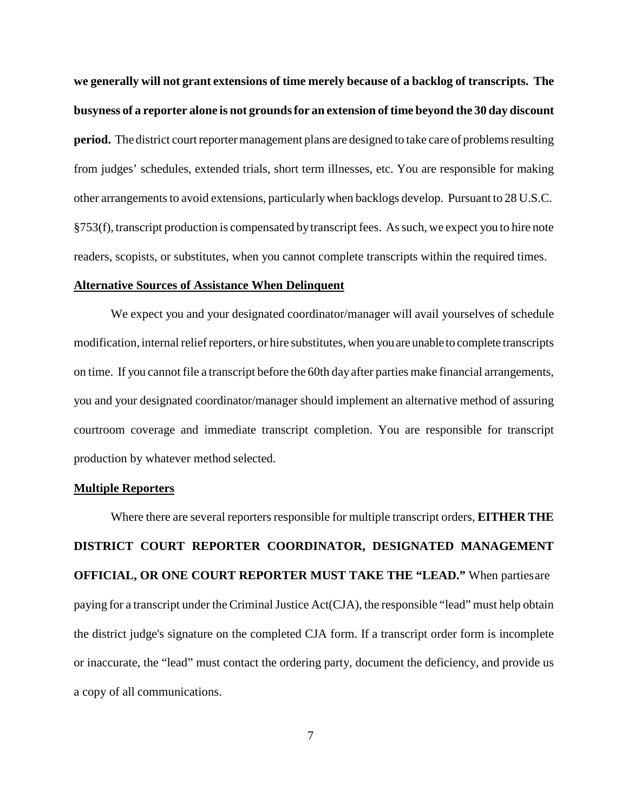**we generally will not grant extensions of time merely because of a backlog of transcripts. The busyness of a reporter alone is not groundsfor an extension of time beyond the 30 day discount period.** The district court reporter management plans are designed to take care of problems resulting from judges' schedules, extended trials, short term illnesses, etc. You are responsible for making other arrangements to avoid extensions, particularly when backlogs develop. Pursuant to 28 U.S.C. §753(f), transcript production is compensated bytranscript fees. Assuch, we expect you to hire note readers, scopists, or substitutes, when you cannot complete transcripts within the required times.

#### **Alternative Sources of Assistance When Delinquent**

We expect you and your designated coordinator/manager will avail yourselves of schedule modification, internal relief reporters, or hire substitutes, when you are unable to complete transcripts on time. If you cannot file a transcript before the 60th dayafter parties make financial arrangements, you and your designated coordinator/manager should implement an alternative method of assuring courtroom coverage and immediate transcript completion. You are responsible for transcript production by whatever method selected.

#### **Multiple Reporters**

Where there are several reporters responsible for multiple transcript orders, **EITHER THE DISTRICT COURT REPORTER COORDINATOR, DESIGNATED MANAGEMENT OFFICIAL, OR ONE COURT REPORTER MUST TAKE THE "LEAD."** When partiesare paying for a transcript under the Criminal Justice Act(CJA), the responsible "lead" must help obtain the district judge's signature on the completed CJA form. If a transcript order form is incomplete or inaccurate, the "lead" must contact the ordering party, document the deficiency, and provide us a copy of all communications.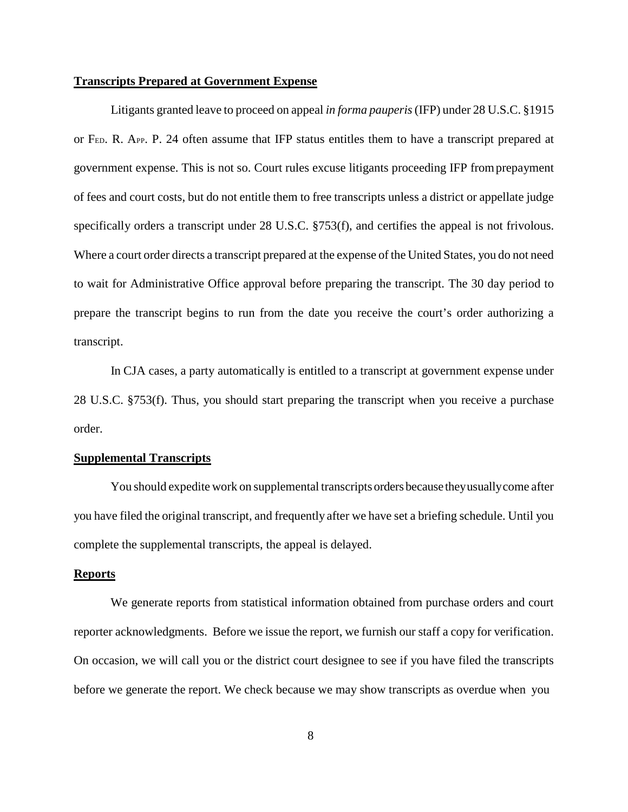#### **Transcripts Prepared at Government Expense**

Litigants granted leave to proceed on appeal *in forma pauperis*(IFP) under 28 U.S.C. §1915 or FED. R. APP. P. 24 often assume that IFP status entitles them to have a transcript prepared at government expense. This is not so. Court rules excuse litigants proceeding IFP fromprepayment of fees and court costs, but do not entitle them to free transcripts unless a district or appellate judge specifically orders a transcript under 28 U.S.C. §753(f), and certifies the appeal is not frivolous. Where a court order directs a transcript prepared at the expense of the United States, you do not need to wait for Administrative Office approval before preparing the transcript. The 30 day period to prepare the transcript begins to run from the date you receive the court's order authorizing a transcript.

In CJA cases, a party automatically is entitled to a transcript at government expense under 28 U.S.C. §753(f). Thus, you should start preparing the transcript when you receive a purchase order.

#### **Supplemental Transcripts**

You should expedite work on supplemental transcripts orders because theyusuallycome after you have filed the original transcript, and frequently after we have set a briefing schedule. Until you complete the supplemental transcripts, the appeal is delayed.

#### **Reports**

We generate reports from statistical information obtained from purchase orders and court reporter acknowledgments. Before we issue the report, we furnish our staff a copy for verification. On occasion, we will call you or the district court designee to see if you have filed the transcripts before we generate the report. We check because we may show transcripts as overdue when you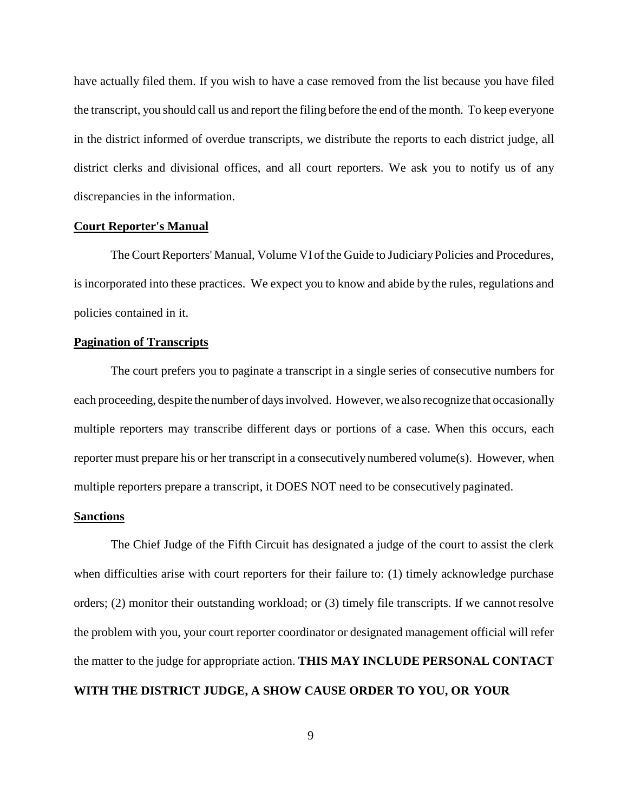have actually filed them. If you wish to have a case removed from the list because you have filed the transcript, you should call us and report the filing before the end of the month. To keep everyone in the district informed of overdue transcripts, we distribute the reports to each district judge, all district clerks and divisional offices, and all court reporters. We ask you to notify us of any discrepancies in the information.

#### **Court Reporter's Manual**

The Court Reporters' Manual, Volume VI of the Guide to JudiciaryPolicies and Procedures, is incorporated into these practices. We expect you to know and abide by the rules, regulations and policies contained in it.

#### **Pagination of Transcripts**

The court prefers you to paginate a transcript in a single series of consecutive numbers for each proceeding, despite the numberof daysinvolved. However, we also recognize that occasionally multiple reporters may transcribe different days or portions of a case. When this occurs, each reporter must prepare his or her transcript in a consecutively numbered volume $(s)$ . However, when multiple reporters prepare a transcript, it DOES NOT need to be consecutively paginated.

#### **Sanctions**

The Chief Judge of the Fifth Circuit has designated a judge of the court to assist the clerk when difficulties arise with court reporters for their failure to: (1) timely acknowledge purchase orders; (2) monitor their outstanding workload; or (3) timely file transcripts. If we cannot resolve the problem with you, your court reporter coordinator or designated management official will refer the matter to the judge for appropriate action. **THIS MAY INCLUDE PERSONAL CONTACT WITH THE DISTRICT JUDGE, A SHOW CAUSE ORDER TO YOU, OR YOUR**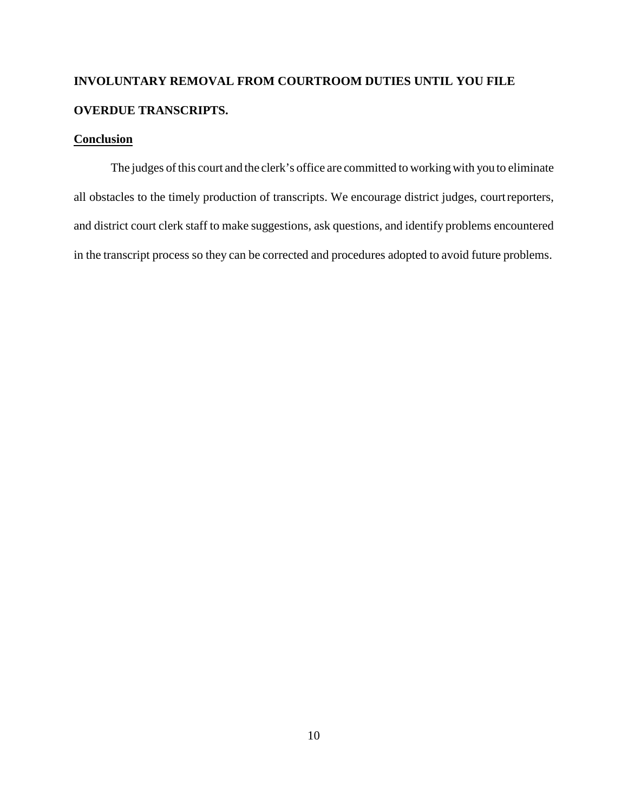# **INVOLUNTARY REMOVAL FROM COURTROOM DUTIES UNTIL YOU FILE OVERDUE TRANSCRIPTS.**

### **Conclusion**

The judges of this court and the clerk's office are committed to working with you to eliminate all obstacles to the timely production of transcripts. We encourage district judges, courtreporters, and district court clerk staff to make suggestions, ask questions, and identify problems encountered in the transcript process so they can be corrected and procedures adopted to avoid future problems.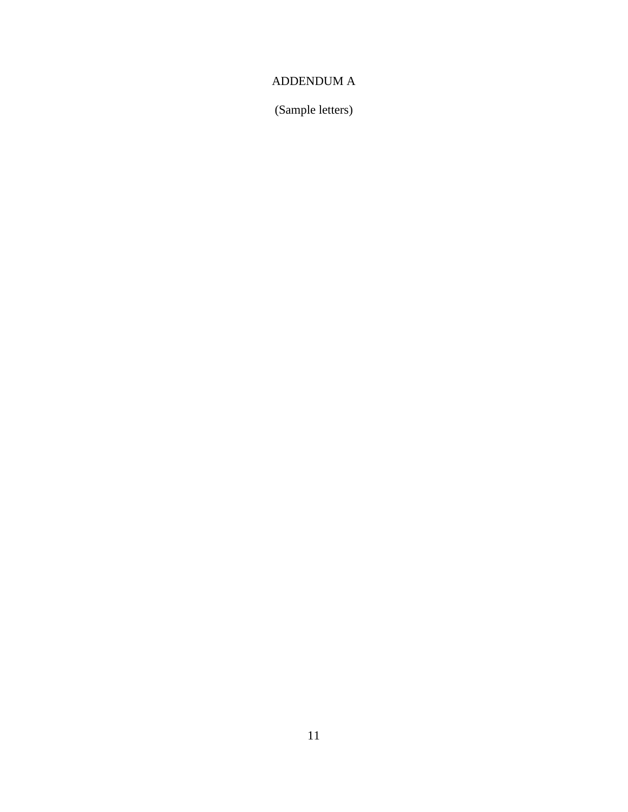### ADDENDUM A

(Sample letters)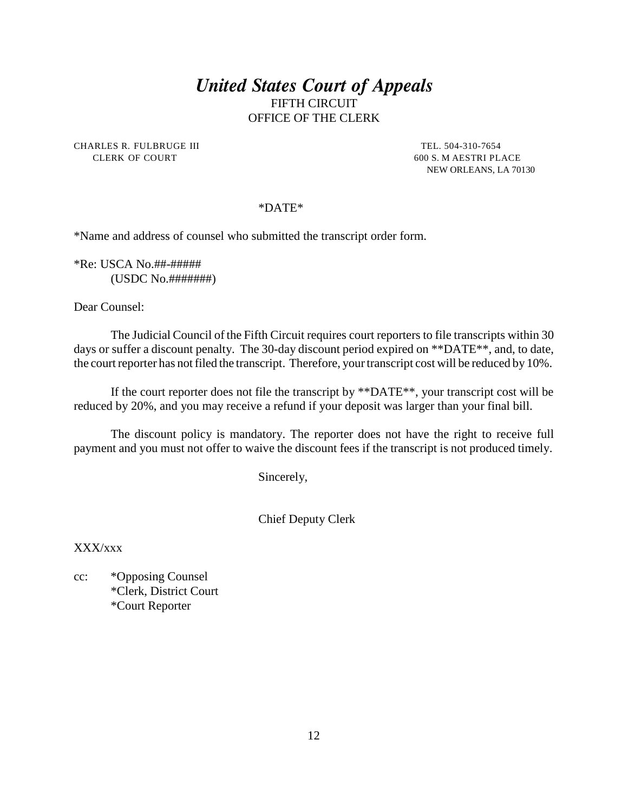CHARLES R. FULBRUGE III TEL. 504-310-7654 CLERK OF COURT 600 S. M AESTRI PLACE

NEW ORLEANS, LA 70130

#### \*DATE\*

\*Name and address of counsel who submitted the transcript order form.

\*Re: USCA No.##-##### (USDC No.#######)

Dear Counsel:

The Judicial Council of the Fifth Circuit requires court reporters to file transcripts within 30 days or suffer a discount penalty. The 30-day discount period expired on \*\*DATE\*\*, and, to date, the court reporter has not filed the transcript. Therefore, your transcript cost will be reduced by 10%.

If the court reporter does not file the transcript by \*\*DATE\*\*, your transcript cost will be reduced by 20%, and you may receive a refund if your deposit was larger than your final bill.

The discount policy is mandatory. The reporter does not have the right to receive full payment and you must not offer to waive the discount fees if the transcript is not produced timely.

Sincerely,

Chief Deputy Clerk

XXX/xxx

cc: \*Opposing Counsel \*Clerk, District Court \*Court Reporter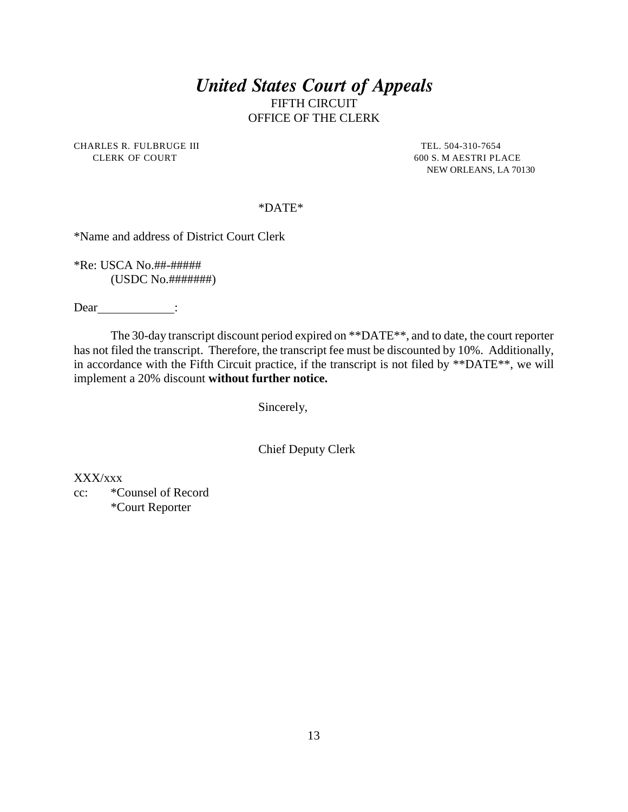CHARLES R. FULBRUGE III TEL. 504-310-7654 CLERK OF COURT 600 S. M AESTRI PLACE

NEW ORLEANS, LA 70130

#### \*DATE\*

\*Name and address of District Court Clerk

\*Re: USCA No.##-##### (USDC No.#######)

Dear <u>\_\_\_\_\_\_\_\_</u>:

The 30-day transcript discount period expired on \*\*DATE\*\*, and to date, the court reporter has not filed the transcript. Therefore, the transcript fee must be discounted by 10%. Additionally, in accordance with the Fifth Circuit practice, if the transcript is not filed by \*\*DATE\*\*, we will implement a 20% discount **without further notice.**

Sincerely,

Chief Deputy Clerk

XXX/xxx

cc: \*Counsel of Record \*Court Reporter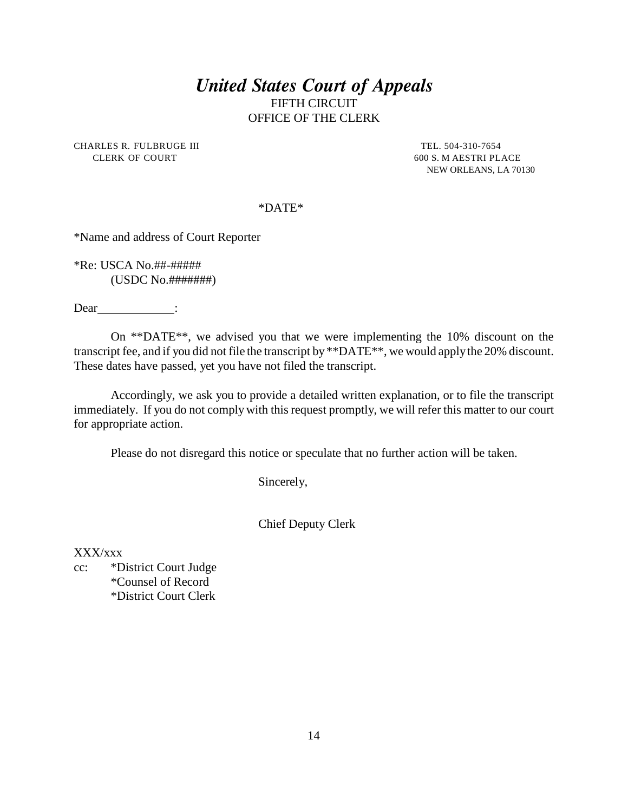CHARLES R. FULBRUGE III TEL. 504-310-7654 CLERK OF COURT 600 S. M AESTRI PLACE

NEW ORLEANS, LA 70130

#### \*DATE\*

\*Name and address of Court Reporter

\*Re: USCA No.##-##### (USDC No.#######)

Dear \_\_\_\_\_\_\_\_\_\_\_\_\_\_\_:

On \*\*DATE\*\*, we advised you that we were implementing the 10% discount on the transcript fee, and if you did not file the transcript by \*\*DATE\*\*, we would applythe 20% discount. These dates have passed, yet you have not filed the transcript.

Accordingly, we ask you to provide a detailed written explanation, or to file the transcript immediately. If you do not complywith this request promptly, we will refer this matter to our court for appropriate action.

Please do not disregard this notice or speculate that no further action will be taken.

Sincerely,

Chief Deputy Clerk

XXX/xxx

cc: \*District Court Judge \*Counsel of Record \*District Court Clerk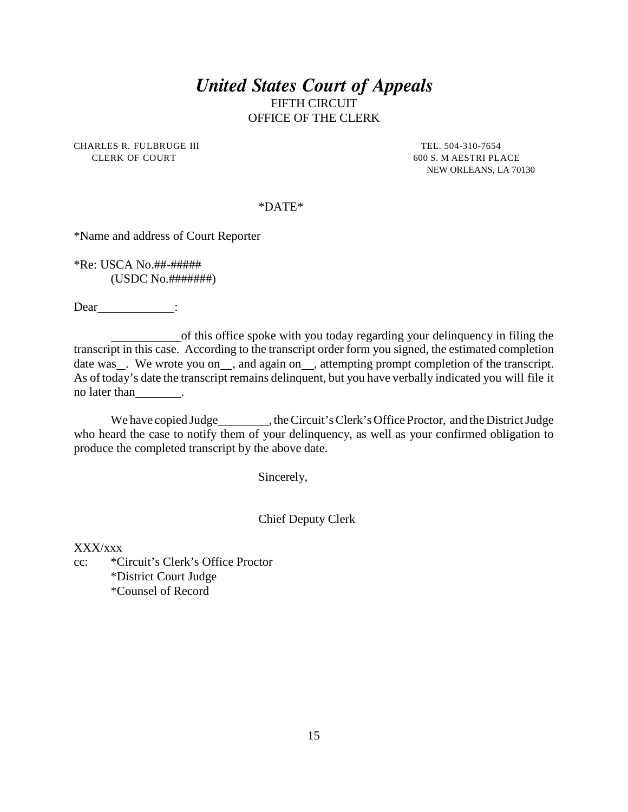CHARLES R. FULBRUGE III TEL. 504-310-7654 CLERK OF COURT 600 S. M AESTRI PLACE

NEW ORLEANS, LA 70130

#### \*DATE\*

\*Name and address of Court Reporter

\*Re: USCA No.##-##### (USDC No.#######)

Dear<br>
<u>:</u>

of this office spoke with you today regarding your delinquency in filing the transcript in this case. According to the transcript order form you signed, the estimated completion date was \_. We wrote you on \_\_, and again on \_\_, attempting prompt completion of the transcript. As of today's date the transcript remains delinquent, but you have verbally indicated you will file it no later than \_\_\_\_\_\_\_\_.

We have copied Judge https://web.ave.org/copied Judge , the Circuit's Clerk's Office Proctor, and the District Judge who heard the case to notify them of your delinquency, as well as your confirmed obligation to produce the completed transcript by the above date.

Sincerely,

#### Chief Deputy Clerk

XXX/xxx

cc: \*Circuit's Clerk's Office Proctor \*District Court Judge \*Counsel of Record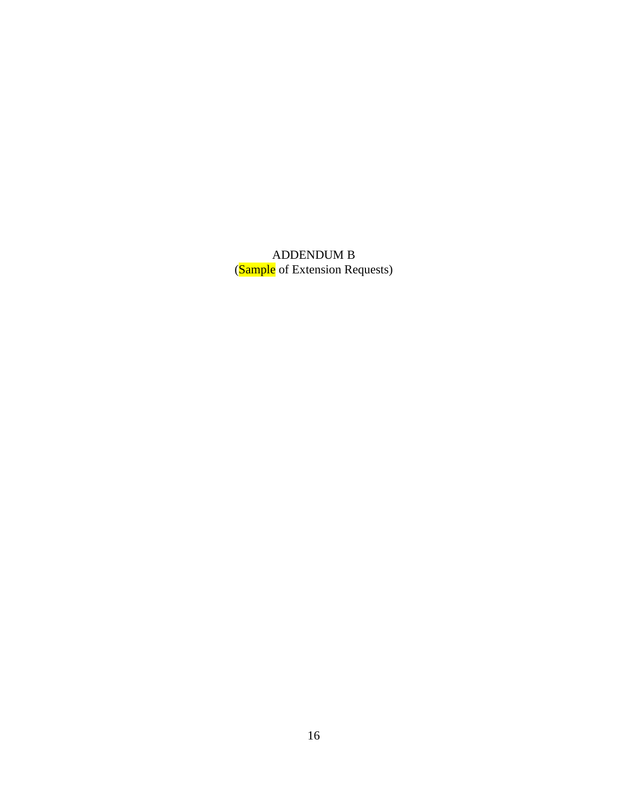ADDENDUM B (**Sample** of Extension Requests)